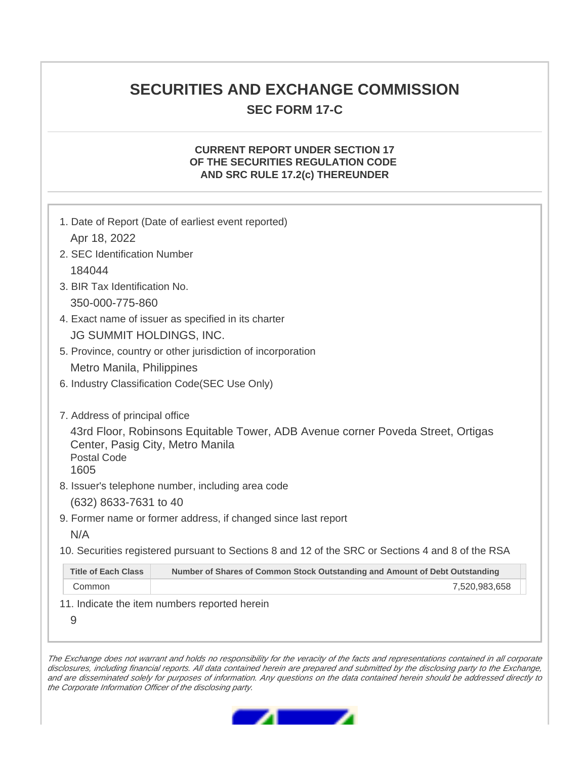# **SECURITIES AND EXCHANGE COMMISSION**

## **SEC FORM 17-C**

#### **CURRENT REPORT UNDER SECTION 17 OF THE SECURITIES REGULATION CODE AND SRC RULE 17.2(c) THEREUNDER**

|                                                                                                                                                                                     | 1. Date of Report (Date of earliest event reported)                                               |  |  |
|-------------------------------------------------------------------------------------------------------------------------------------------------------------------------------------|---------------------------------------------------------------------------------------------------|--|--|
| Apr 18, 2022                                                                                                                                                                        |                                                                                                   |  |  |
| 2. SEC Identification Number                                                                                                                                                        |                                                                                                   |  |  |
| 184044                                                                                                                                                                              |                                                                                                   |  |  |
| 3. BIR Tax Identification No.                                                                                                                                                       |                                                                                                   |  |  |
| 350-000-775-860                                                                                                                                                                     |                                                                                                   |  |  |
| 4. Exact name of issuer as specified in its charter                                                                                                                                 |                                                                                                   |  |  |
| <b>JG SUMMIT HOLDINGS, INC.</b>                                                                                                                                                     |                                                                                                   |  |  |
| 5. Province, country or other jurisdiction of incorporation                                                                                                                         |                                                                                                   |  |  |
| Metro Manila, Philippines                                                                                                                                                           |                                                                                                   |  |  |
| 6. Industry Classification Code(SEC Use Only)                                                                                                                                       |                                                                                                   |  |  |
|                                                                                                                                                                                     |                                                                                                   |  |  |
| 7. Address of principal office<br>43rd Floor, Robinsons Equitable Tower, ADB Avenue corner Poveda Street, Ortigas<br>Center, Pasig City, Metro Manila<br><b>Postal Code</b><br>1605 |                                                                                                   |  |  |
| 8. Issuer's telephone number, including area code                                                                                                                                   |                                                                                                   |  |  |
| (632) 8633-7631 to 40                                                                                                                                                               |                                                                                                   |  |  |
|                                                                                                                                                                                     | 9. Former name or former address, if changed since last report                                    |  |  |
| N/A                                                                                                                                                                                 |                                                                                                   |  |  |
|                                                                                                                                                                                     | 10. Securities registered pursuant to Sections 8 and 12 of the SRC or Sections 4 and 8 of the RSA |  |  |
| <b>Title of Each Class</b>                                                                                                                                                          | Number of Shares of Common Stock Outstanding and Amount of Debt Outstanding                       |  |  |
| Common                                                                                                                                                                              | 7,520,983,658                                                                                     |  |  |
| 11. Indicate the item numbers reported herein                                                                                                                                       |                                                                                                   |  |  |
| 9                                                                                                                                                                                   |                                                                                                   |  |  |

The Exchange does not warrant and holds no responsibility for the veracity of the facts and representations contained in all corporate disclosures, including financial reports. All data contained herein are prepared and submitted by the disclosing party to the Exchange, and are disseminated solely for purposes of information. Any questions on the data contained herein should be addressed directly to the Corporate Information Officer of the disclosing party.

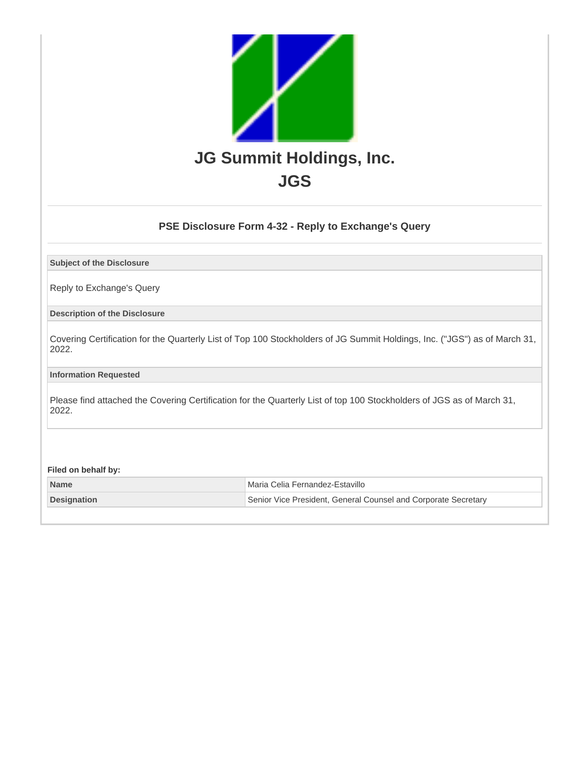

### **PSE Disclosure Form 4-32 - Reply to Exchange's Query**

**Subject of the Disclosure**

Reply to Exchange's Query

**Description of the Disclosure**

Covering Certification for the Quarterly List of Top 100 Stockholders of JG Summit Holdings, Inc. ("JGS") as of March 31, 2022.

**Information Requested**

Please find attached the Covering Certification for the Quarterly List of top 100 Stockholders of JGS as of March 31, 2022.

**Filed on behalf by:**

| <b>Name</b>        | l Maria Celia Fernandez-Estavillo                              |
|--------------------|----------------------------------------------------------------|
| <b>Designation</b> | Senior Vice President, General Counsel and Corporate Secretary |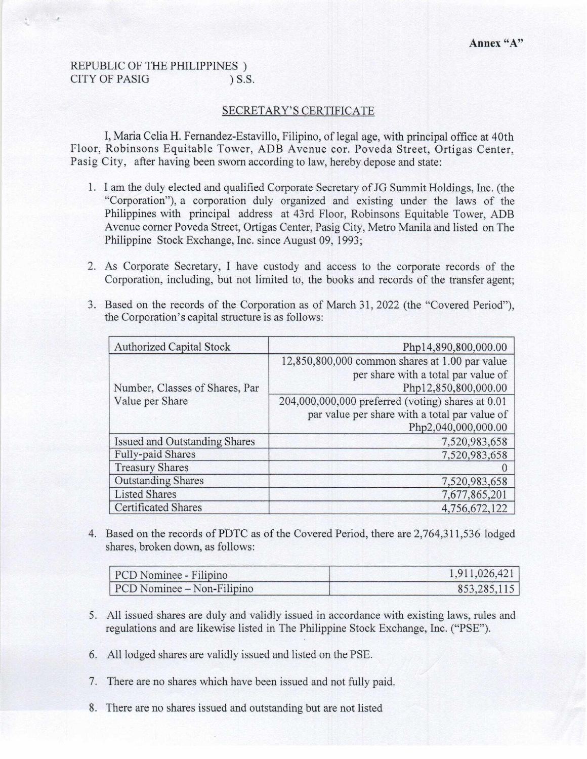#### **REPUBLIC OF THE PHILIPPINES**) **CITY OF PASIG**  $)$  S.S.

#### SECRETARY'S CERTIFICATE

I, Maria Celia H. Fernandez-Estavillo, Filipino, of legal age, with principal office at 40th Floor, Robinsons Equitable Tower, ADB Avenue cor. Poveda Street, Ortigas Center, Pasig City, after having been sworn according to law, hereby depose and state:

- 1. I am the duly elected and qualified Corporate Secretary of JG Summit Holdings, Inc. (the "Corporation"), a corporation duly organized and existing under the laws of the Philippines with principal address at 43rd Floor, Robinsons Equitable Tower, ADB Avenue corner Poveda Street, Ortigas Center, Pasig City, Metro Manila and listed on The Philippine Stock Exchange, Inc. since August 09, 1993;
- 2. As Corporate Secretary, I have custody and access to the corporate records of the Corporation, including, but not limited to, the books and records of the transfer agent;
- 3. Based on the records of the Corporation as of March 31, 2022 (the "Covered Period"), the Corporation's capital structure is as follows:

| <b>Authorized Capital Stock</b>      | Php14,890,800,000.00                              |
|--------------------------------------|---------------------------------------------------|
|                                      | 12,850,800,000 common shares at 1.00 par value    |
|                                      | per share with a total par value of               |
| Number, Classes of Shares, Par       | Php12,850,800,000.00                              |
| Value per Share                      | 204,000,000,000 preferred (voting) shares at 0.01 |
|                                      | par value per share with a total par value of     |
|                                      | Php2,040,000,000.00                               |
| <b>Issued and Outstanding Shares</b> | 7,520,983,658                                     |
| <b>Fully-paid Shares</b>             | 7,520,983,658                                     |
| <b>Treasury Shares</b>               | $\theta$                                          |
| <b>Outstanding Shares</b>            | 7,520,983,658                                     |
| <b>Listed Shares</b>                 | 7,677,865,201                                     |
| <b>Certificated Shares</b>           | 4,756,672,122                                     |

4. Based on the records of PDTC as of the Covered Period, there are 2,764,311,536 lodged shares, broken down, as follows:

| PCD Nominee - Filipino     | 1,911,026,421 |
|----------------------------|---------------|
| PCD Nominee – Non-Filipino | 853,285,115   |

- 5. All issued shares are duly and validly issued in accordance with existing laws, rules and regulations and are likewise listed in The Philippine Stock Exchange, Inc. ("PSE").
- 6. All lodged shares are validly issued and listed on the PSE.
- 7. There are no shares which have been issued and not fully paid.
- 8. There are no shares issued and outstanding but are not listed